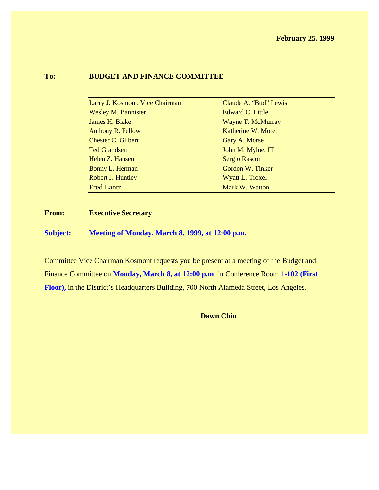#### **To: BUDGET AND FINANCE COMMITTEE**

| Larry J. Kosmont, Vice Chairman | Claude A. "Bud" Lewis |
|---------------------------------|-----------------------|
| <b>Wesley M. Bannister</b>      | Edward C. Little      |
| James H. Blake                  | Wayne T. McMurray     |
| Anthony R. Fellow               | Katherine W. Moret    |
| <b>Chester C. Gilbert</b>       | Gary A. Morse         |
| <b>Ted Grandsen</b>             | John M. Mylne, III    |
| Helen Z. Hansen                 | <b>Sergio Rascon</b>  |
| Bonny L. Herman                 | Gordon W. Tinker      |
| Robert J. Huntley               | Wyatt L. Troxel       |
| <b>Fred Lantz</b>               | Mark W. Watton        |

**From: Executive Secretary**

**Subject: Meeting of Monday, March 8, 1999, at 12:00 p.m.**

Committee Vice Chairman Kosmont requests you be present at a meeting of the Budget and Finance Committee on **Monday, March 8, at 12:00 p.m**. in Conference Room 1-**102 (First Floor),** in the District's Headquarters Building, 700 North Alameda Street, Los Angeles.

**Dawn Chin**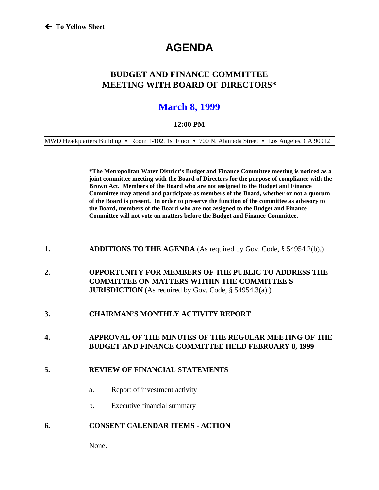# **AGENDA**

## **BUDGET AND FINANCE COMMITTEE MEETING WITH BOARD OF DIRECTORS\***

## **March 8, 1999**

#### **12:00 PM**

MWD Headquarters Building • Room 1-102, 1st Floor • 700 N. Alameda Street • Los Angeles, CA 90012

**\*The Metropolitan Water District's Budget and Finance Committee meeting is noticed as a joint committee meeting with the Board of Directors for the purpose of compliance with the Brown Act. Members of the Board who are not assigned to the Budget and Finance Committee may attend and participate as members of the Board, whether or not a quorum of the Board is present. In order to preserve the function of the committee as advisory to the Board, members of the Board who are not assigned to the Budget and Finance Committee will not vote on matters before the Budget and Finance Committee.**

- **1. ADDITIONS TO THE AGENDA** (As required by Gov. Code, § 54954.2(b).)
- **2. OPPORTUNITY FOR MEMBERS OF THE PUBLIC TO ADDRESS THE COMMITTEE ON MATTERS WITHIN THE COMMITTEE'S JURISDICTION** (As required by Gov. Code, § 54954.3(a).)

#### **3. CHAIRMAN'S MONTHLY ACTIVITY REPORT**

**4. APPROVAL OF THE MINUTES OF THE REGULAR MEETING OF THE BUDGET AND FINANCE COMMITTEE HELD FEBRUARY 8, 1999**

#### **5. REVIEW OF FINANCIAL STATEMENTS**

- a. Report of investment activity
- b. Executive financial summary

#### **6. CONSENT CALENDAR ITEMS - ACTION**

None.